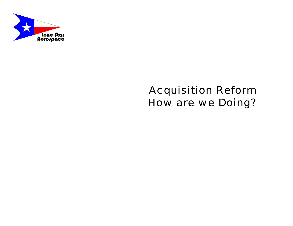

### Acquisition Reform How are we Doing?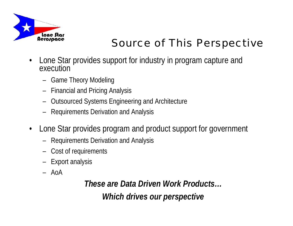

## Source of This Perspective

- • Lone Star provides support for industry in program capture and execution
	- Game Theory Modeling
	- Financial and Pricing Analysis
	- Outsourced Systems Engineering and Architecture
	- Requirements Derivation and Analysis
- • Lone Star provides program and product support for government
	- Requirements Derivation and Analysis
	- Cost of requirements
	- Export analysis
	- AoA

*These are Data Driven Work Products… Which drives our perspective*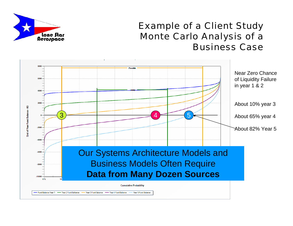

#### Example of a Client Study Monte Carlo Analysis of a Business Case

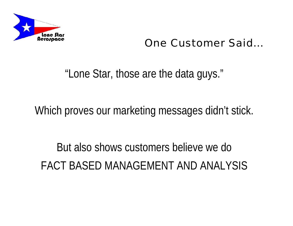

### One Customer Said…

"Lone Star, those are the data guys."

Which proves our marketing messages didn't stick.

But also shows customers believe we do FACT BASED MANAGEMENT AND ANALYSIS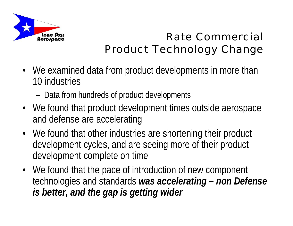

## Rate Commercial Product Technology Change

- We examined data from product developments in more than 10 industries
	- Data from hundreds of product developments
- We found that product development times outside aerospace and defense are accelerating
- We found that other industries are shortening their product development cycles, and are seeing more of their product development complete on time
- We found that the pace of introduction of new component technologies and standards *was accelerating – non Defense is better, and the gap is getting wider*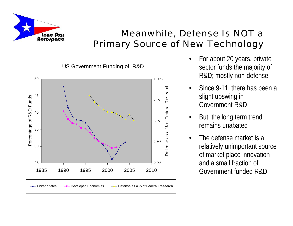

#### Meanwhile, Defense Is NOT a Primary Source of New Technology



- • For about 20 years, private sector funds the majority of R&D; mostly non-defense
- • Since 9-11, there has been a slight upswing in Government R&D
- • But, the long term trend remains unabated
- • The defense market is a relatively unimportant source of market place innovation and a small fraction of Government funded R&D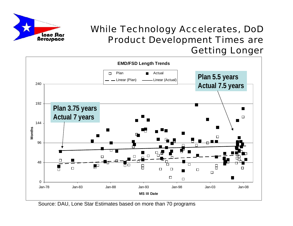

#### While Technology Accelerates, DoD Product Development Times are Getting Longer



Source: DAU, Lone Star Estimates based on more than 70 programs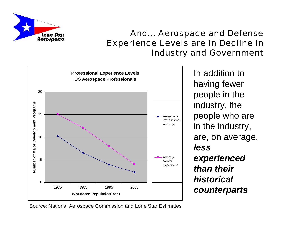

#### And… Aerospace and Defense Experience Levels are in Decline in Industry and Government



In addition to having fewer people in the industry, the people who are in the industry, are, on average, *less experienced than their historical counterparts*

Source: National Aerospace Commission and Lone Star Estimates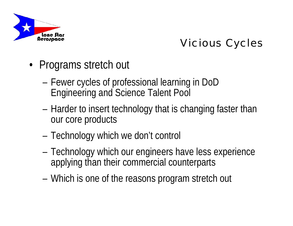

## Vicious Cycles

- • Programs stretch out
	- Fewer cycles of professional learning in DoD Engineering and Science Talent Pool
	- Harder to insert technology that is changing faster than our core products
	- Technology which we don't control
	- Technology which our engineers have less experience applying than their commercial counterparts
	- Which is one of the reasons program stretch out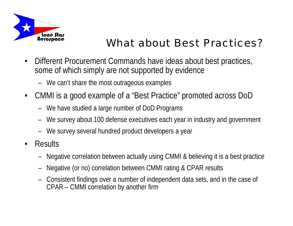

## What about Best Practices?

- • Different Procurement Commands have ideas about best practices, some of which simply are not supported by evidence
	- We can't share the most outrageous examples
- $\bullet$  CMMI is a good example of a "Best Practice" promoted across DoD
	- We have studied a large number of DoD Programs
	- We survey about 100 defense executives each year in industry and government
	- We survey several hundred product developers a year
- • Results
	- Negative correlation between actually using CMMI & believing it is a best practice
	- Negative (or no) correlation between CMMI rating & CPAR results
	- Consistent findings over a number of independent data sets, and in the case of CPAR – CMMI correlation by another firm